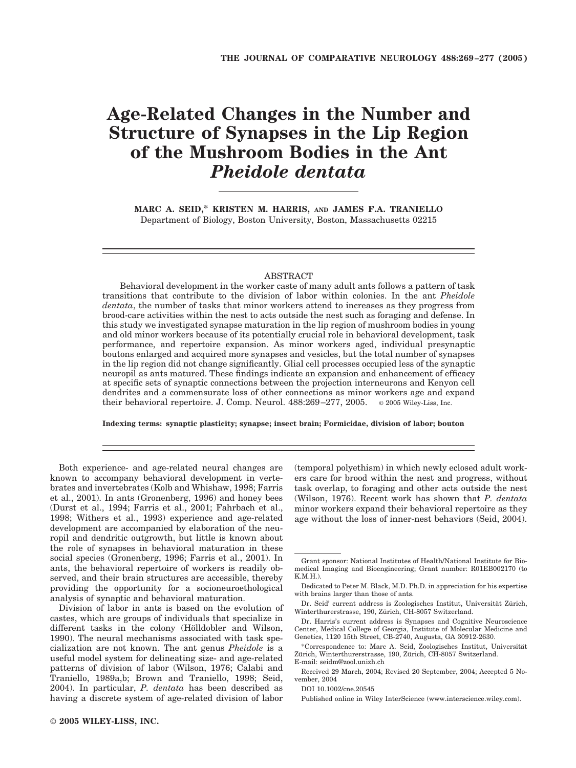# **Age-Related Changes in the Number and Structure of Synapses in the Lip Region of the Mushroom Bodies in the Ant** *Pheidole dentata*

**MARC A. SEID,\* KRISTEN M. HARRIS, AND JAMES F.A. TRANIELLO** Department of Biology, Boston University, Boston, Massachusetts 02215

## ABSTRACT

Behavioral development in the worker caste of many adult ants follows a pattern of task transitions that contribute to the division of labor within colonies. In the ant *Pheidole dentata*, the number of tasks that minor workers attend to increases as they progress from brood-care activities within the nest to acts outside the nest such as foraging and defense. In this study we investigated synapse maturation in the lip region of mushroom bodies in young and old minor workers because of its potentially crucial role in behavioral development, task performance, and repertoire expansion. As minor workers aged, individual presynaptic boutons enlarged and acquired more synapses and vesicles, but the total number of synapses in the lip region did not change significantly. Glial cell processes occupied less of the synaptic neuropil as ants matured. These findings indicate an expansion and enhancement of efficacy at specific sets of synaptic connections between the projection interneurons and Kenyon cell dendrites and a commensurate loss of other connections as minor workers age and expand their behavioral repertoire. J. Comp. Neurol. 488:269 –277, 2005. © 2005 Wiley-Liss, Inc.

**Indexing terms: synaptic plasticity; synapse; insect brain; Formicidae, division of labor; bouton**

Both experience- and age-related neural changes are known to accompany behavioral development in vertebrates and invertebrates (Kolb and Whishaw, 1998; Farris et al., 2001). In ants (Gronenberg, 1996) and honey bees (Durst et al., 1994; Farris et al., 2001; Fahrbach et al., 1998; Withers et al., 1993) experience and age-related development are accompanied by elaboration of the neuropil and dendritic outgrowth, but little is known about the role of synapses in behavioral maturation in these social species (Gronenberg, 1996; Farris et al., 2001). In ants, the behavioral repertoire of workers is readily observed, and their brain structures are accessible, thereby providing the opportunity for a socioneuroethological analysis of synaptic and behavioral maturation.

Division of labor in ants is based on the evolution of castes, which are groups of individuals that specialize in different tasks in the colony (Hölldobler and Wilson, 1990). The neural mechanisms associated with task specialization are not known. The ant genus *Pheidole* is a useful model system for delineating size- and age-related patterns of division of labor (Wilson, 1976; Calabi and Traniello, 1989a,b; Brown and Traniello, 1998; Seid, 2004). In particular, *P. dentata* has been described as having a discrete system of age-related division of labor

(temporal polyethism) in which newly eclosed adult workers care for brood within the nest and progress, without task overlap, to foraging and other acts outside the nest (Wilson, 1976). Recent work has shown that *P. dentata* minor workers expand their behavioral repertoire as they age without the loss of inner-nest behaviors (Seid, 2004).

Published online in Wiley InterScience (www.interscience.wiley.com).

Grant sponsor: National Institutes of Health/National Institute for Biomedical Imaging and Bioengineering; Grant number: R01EB002170 (to K.M.H.).

Dedicated to Peter M. Black, M.D. Ph.D. in appreciation for his expertise with brains larger than those of ants.

Dr. Seid' current address is Zoologisches Institut, Universität Zürich, Winterthurerstrasse, 190, Zürich, CH-8057 Switzerland.

Dr. Harris's current address is Synapses and Cognitive Neuroscience Center, Medical College of Georgia, Institute of Molecular Medicine and Genetics, 1120 15th Street, CB-2740, Augusta, GA 30912-2630.

<sup>\*</sup>Correspondence to: Marc A. Seid, Zoologisches Institut, Universita¨ t Zürich, Winterthurerstrasse, 190, Zürich, CH-8057 Switzerland. E-mail: seidm@zool.unizh.ch

Received 29 March, 2004; Revised 20 September, 2004; Accepted 5 November, 2004

DOI 10.1002/cne.20545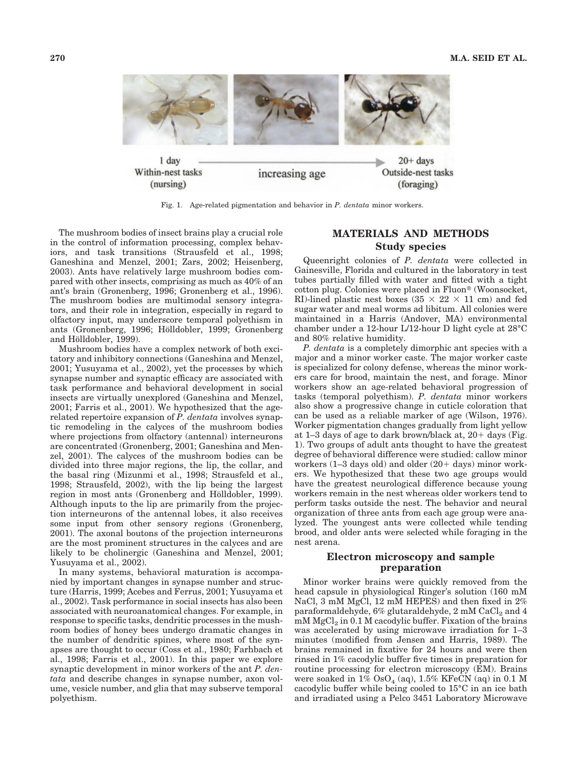

Within-nest tasks Outside-nest tasks increasing age  $(nursing)$ (foraging)

Fig. 1. Age-related pigmentation and behavior in *P. dentata* minor workers.

The mushroom bodies of insect brains play a crucial role in the control of information processing, complex behaviors, and task transitions (Strausfeld et al., 1998; Ganeshina and Menzel, 2001; Zars, 2002; Heisenberg, 2003). Ants have relatively large mushroom bodies compared with other insects, comprising as much as 40% of an ant's brain (Gronenberg, 1996; Gronenberg et al., 1996). The mushroom bodies are multimodal sensory integrators, and their role in integration, especially in regard to olfactory input, may underscore temporal polyethism in ants (Gronenberg, 1996; Hölldobler, 1999; Gronenberg and Hölldobler, 1999).

Mushroom bodies have a complex network of both excitatory and inhibitory connections (Ganeshina and Menzel, 2001; Yusuyama et al., 2002), yet the processes by which synapse number and synaptic efficacy are associated with task performance and behavioral development in social insects are virtually unexplored (Ganeshina and Menzel, 2001; Farris et al., 2001). We hypothesized that the agerelated repertoire expansion of *P. dentata* involves synaptic remodeling in the calyces of the mushroom bodies where projections from olfactory (antennal) interneurons are concentrated (Gronenberg, 2001; Ganeshina and Menzel, 2001). The calyces of the mushroom bodies can be divided into three major regions, the lip, the collar, and the basal ring (Mizunmi et al., 1998; Strausfeld et al., 1998; Strausfeld, 2002), with the lip being the largest region in most ants (Gronenberg and Hölldobler, 1999). Although inputs to the lip are primarily from the projection interneurons of the antennal lobes, it also receives some input from other sensory regions (Gronenberg, 2001). The axonal boutons of the projection interneurons are the most prominent structures in the calyces and are likely to be cholinergic (Ganeshina and Menzel, 2001; Yusuyama et al., 2002).

In many systems, behavioral maturation is accompanied by important changes in synapse number and structure (Harris, 1999; Acebes and Ferrus, 2001; Yusuyama et al., 2002). Task performance in social insects has also been associated with neuroanatomical changes. For example, in response to specific tasks, dendritic processes in the mushroom bodies of honey bees undergo dramatic changes in the number of dendritic spines, where most of the synapses are thought to occur (Coss et al., 1980; Farhbach et al., 1998; Farris et al., 2001). In this paper we explore synaptic development in minor workers of the ant *P. dentata* and describe changes in synapse number, axon volume, vesicle number, and glia that may subserve temporal polyethism.

## **MATERIALS AND METHODS Study species**

Queenright colonies of *P. dentata* were collected in Gainesville, Florida and cultured in the laboratory in test tubes partially filled with water and fitted with a tight cotton plug. Colonies were placed in Fluon<sup>®</sup> (Woonsocket, RI)-lined plastic nest boxes  $(35 \times 22 \times 11 \text{ cm})$  and fed sugar water and meal worms ad libitum. All colonies were maintained in a Harris (Andover, MA) environmental chamber under a 12-hour L/12-hour D light cycle at 28°C and 80% relative humidity.

*P. dentata* is a completely dimorphic ant species with a major and a minor worker caste. The major worker caste is specialized for colony defense, whereas the minor workers care for brood, maintain the nest, and forage. Minor workers show an age-related behavioral progression of tasks (temporal polyethism). *P. dentata* minor workers also show a progressive change in cuticle coloration that can be used as a reliable marker of age (Wilson, 1976). Worker pigmentation changes gradually from light yellow at 1–3 days of age to dark brown/black at, 20- days (Fig. 1). Two groups of adult ants thought to have the greatest degree of behavioral difference were studied: callow minor workers (1–3 days old) and older (20- days) minor workers. We hypothesized that these two age groups would have the greatest neurological difference because young workers remain in the nest whereas older workers tend to perform tasks outside the nest. The behavior and neural organization of three ants from each age group were analyzed. The youngest ants were collected while tending brood, and older ants were selected while foraging in the nest arena.

## **Electron microscopy and sample preparation**

Minor worker brains were quickly removed from the head capsule in physiological Ringer's solution (160 mM NaCl, 3 mM MgCl, 12 mM HEPES) and then fixed in 2% paraformaldehyde,  $6\%$  glutaraldehyde,  $2 \text{ mM } \text{CaCl}_2$  and  $4$  $mM MgCl<sub>2</sub>$  in 0.1 M cacodylic buffer. Fixation of the brains was accelerated by using microwave irradiation for 1–3 minutes (modified from Jensen and Harris, 1989). The brains remained in fixative for 24 hours and were then rinsed in 1% cacodylic buffer five times in preparation for routine processing for electron microscopy (EM). Brains were soaked in  $1\%$  OsO<sub>4</sub> (aq),  $1.5\%$  KFeCN (aq) in 0.1 M cacodylic buffer while being cooled to 15°C in an ice bath and irradiated using a Pelco 3451 Laboratory Microwave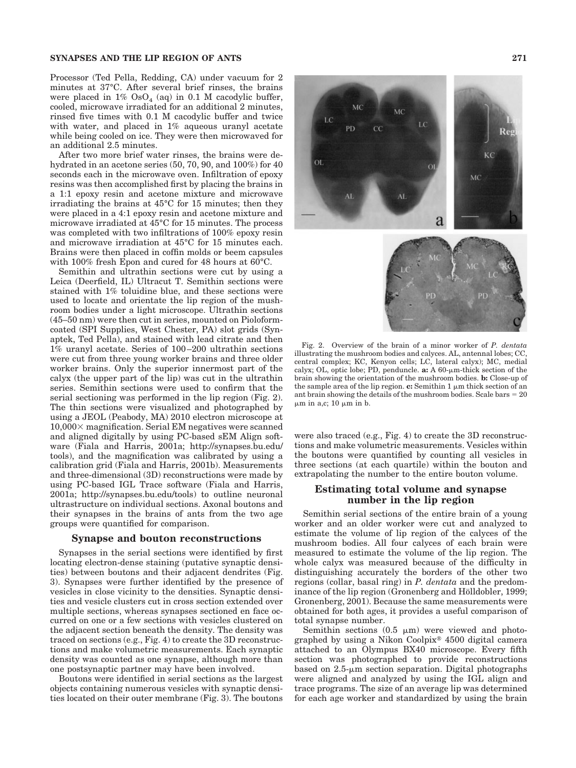## **SYNAPSES AND THE LIP REGION OF ANTS 271**

Processor (Ted Pella, Redding, CA) under vacuum for 2 minutes at 37°C. After several brief rinses, the brains were placed in  $1\%$  OsO<sub>4</sub> (aq) in 0.1 M cacodylic buffer, cooled, microwave irradiated for an additional 2 minutes, rinsed five times with 0.1 M cacodylic buffer and twice with water, and placed in 1% aqueous uranyl acetate while being cooled on ice. They were then microwaved for an additional 2.5 minutes.

After two more brief water rinses, the brains were dehydrated in an acetone series (50, 70, 90, and 100%) for 40 seconds each in the microwave oven. Infiltration of epoxy resins was then accomplished first by placing the brains in a 1:1 epoxy resin and acetone mixture and microwave irradiating the brains at 45°C for 15 minutes; then they were placed in a 4:1 epoxy resin and acetone mixture and microwave irradiated at 45°C for 15 minutes. The process was completed with two infiltrations of 100% epoxy resin and microwave irradiation at 45°C for 15 minutes each. Brains were then placed in coffin molds or beem capsules with 100% fresh Epon and cured for 48 hours at 60°C.

Semithin and ultrathin sections were cut by using a Leica (Deerfield, IL) Ultracut T. Semithin sections were stained with 1% toluidine blue, and these sections were used to locate and orientate the lip region of the mushroom bodies under a light microscope. Ultrathin sections (45–50 nm) were then cut in series, mounted on Pioloformcoated (SPI Supplies, West Chester, PA) slot grids (Synaptek, Ted Pella), and stained with lead citrate and then 1% uranyl acetate. Series of 100 –200 ultrathin sections were cut from three young worker brains and three older worker brains. Only the superior innermost part of the calyx (the upper part of the lip) was cut in the ultrathin series. Semithin sections were used to confirm that the serial sectioning was performed in the lip region (Fig. 2). The thin sections were visualized and photographed by using a JEOL (Peabody, MA) 2010 electron microscope at  $10,000 \times$  magnification. Serial EM negatives were scanned and aligned digitally by using PC-based sEM Align software (Fiala and Harris, 2001a; http://synapses.bu.edu/ tools), and the magnification was calibrated by using a calibration grid (Fiala and Harris, 2001b). Measurements and three-dimensional (3D) reconstructions were made by using PC-based IGL Trace software (Fiala and Harris, 2001a; http://synapses.bu.edu/tools) to outline neuronal ultrastructure on individual sections. Axonal boutons and their synapses in the brains of ants from the two age groups were quantified for comparison.

#### **Synapse and bouton reconstructions**

Synapses in the serial sections were identified by first locating electron-dense staining (putative synaptic densities) between boutons and their adjacent dendrites (Fig. 3). Synapses were further identified by the presence of vesicles in close vicinity to the densities. Synaptic densities and vesicle clusters cut in cross section extended over multiple sections, whereas synapses sectioned en face occurred on one or a few sections with vesicles clustered on the adjacent section beneath the density. The density was traced on sections (e.g., Fig. 4) to create the 3D reconstructions and make volumetric measurements. Each synaptic density was counted as one synapse, although more than one postsynaptic partner may have been involved.

Boutons were identified in serial sections as the largest objects containing numerous vesicles with synaptic densities located on their outer membrane (Fig. 3). The boutons



Fig. 2. Overview of the brain of a minor worker of *P. dentata* illustrating the mushroom bodies and calyces. AL, antennal lobes; CC, central complex; KC, Kenyon cells; LC, lateral calyx); MC, medial calyx; OL, optic lobe; PD, penduncle. **a:** A 60-µm-thick section of the brain showing the orientation of the mushroom bodies. **b:** Close-up of the sample area of the lip region.  $\mathbf{c}:$  Semithin 1  $\mu$ m thick section of an ant brain showing the details of the mushroom bodies. Scale bars  $= 20$  $\mu$ m in a,c; 10  $\mu$ m in b.

were also traced (e.g., Fig. 4) to create the 3D reconstructions and make volumetric measurements. Vesicles within the boutons were quantified by counting all vesicles in three sections (at each quartile) within the bouton and extrapolating the number to the entire bouton volume.

## **Estimating total volume and synapse number in the lip region**

Semithin serial sections of the entire brain of a young worker and an older worker were cut and analyzed to estimate the volume of lip region of the calyces of the mushroom bodies. All four calyces of each brain were measured to estimate the volume of the lip region. The whole calyx was measured because of the difficulty in distinguishing accurately the borders of the other two regions (collar, basal ring) in *P. dentata* and the predominance of the lip region (Gronenberg and Hölldobler, 1999; Gronenberg, 2001). Because the same measurements were obtained for both ages, it provides a useful comparison of total synapse number.

Semithin sections  $(0.5 \mu m)$  were viewed and photographed by using a Nikon Coolpix<sup>®</sup> 4500 digital camera attached to an Olympus BX40 microscope. Every fifth section was photographed to provide reconstructions based on  $2.5$ - $\mu$ m section separation. Digital photographs were aligned and analyzed by using the IGL align and trace programs. The size of an average lip was determined for each age worker and standardized by using the brain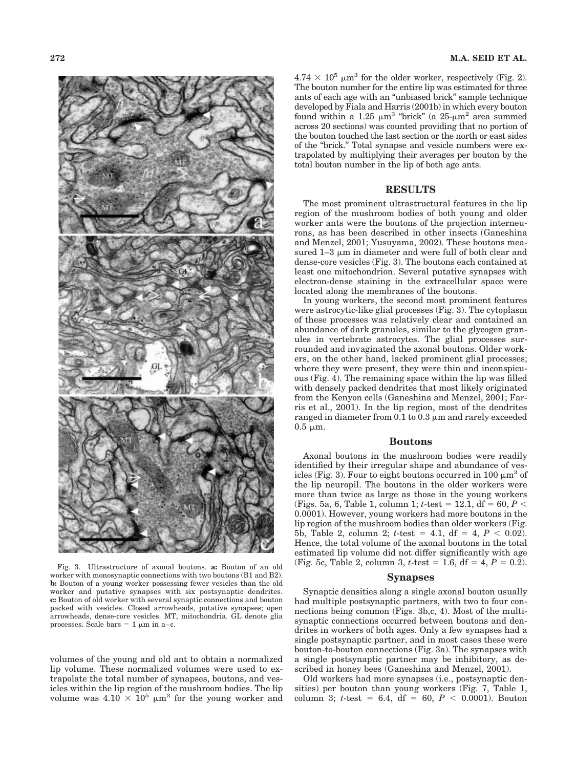

Fig. 3. Ultrastructure of axonal boutons. **a:** Bouton of an old worker with monosynaptic connections with two boutons (B1 and B2). **b:** Bouton of a young worker possessing fewer vesicles than the old worker and putative synapses with six postsynaptic dendrites. **c:** Bouton of old worker with several synaptic connections and bouton packed with vesicles. Closed arrowheads, putative synapses; open arrowheads, dense-core vesicles. MT, mitochondria. GL denote glia processes. Scale bars  $= 1 \mu m$  in a–c.

volumes of the young and old ant to obtain a normalized lip volume. These normalized volumes were used to extrapolate the total number of synapses, boutons, and vesicles within the lip region of the mushroom bodies. The lip volume was  $4.10 \times 10^5$  µm<sup>3</sup> for the young worker and  $4.74 \times 10^5$  µm<sup>3</sup> for the older worker, respectively (Fig. 2). The bouton number for the entire lip was estimated for three ants of each age with an "unbiased brick" sample technique developed by Fiala and Harris (2001b) in which every bouton found within a 1.25  $\mu$ m<sup>3</sup> "brick" (a 25- $\mu$ m<sup>2</sup> area summed across 20 sections) was counted providing that no portion of the bouton touched the last section or the north or east sides of the "brick." Total synapse and vesicle numbers were extrapolated by multiplying their averages per bouton by the total bouton number in the lip of both age ants.

#### **RESULTS**

The most prominent ultrastructural features in the lip region of the mushroom bodies of both young and older worker ants were the boutons of the projection interneurons, as has been described in other insects (Ganeshina and Menzel, 2001; Yusuyama, 2002). These boutons measured  $1-3 \mu m$  in diameter and were full of both clear and dense-core vesicles (Fig. 3). The boutons each contained at least one mitochondrion. Several putative synapses with electron-dense staining in the extracellular space were located along the membranes of the boutons.

In young workers, the second most prominent features were astrocytic-like glial processes (Fig. 3). The cytoplasm of these processes was relatively clear and contained an abundance of dark granules, similar to the glycogen granules in vertebrate astrocytes. The glial processes surrounded and invaginated the axonal boutons. Older workers, on the other hand, lacked prominent glial processes; where they were present, they were thin and inconspicuous (Fig. 4). The remaining space within the lip was filled with densely packed dendrites that most likely originated from the Kenyon cells (Ganeshina and Menzel, 2001; Farris et al., 2001). In the lip region, most of the dendrites ranged in diameter from  $0.1$  to  $0.3 \mu$ m and rarely exceeded  $0.5 \mu m$ .

#### **Boutons**

Axonal boutons in the mushroom bodies were readily identified by their irregular shape and abundance of vesicles (Fig. 3). Four to eight boutons occurred in 100  $\mu$ m<sup>3</sup> of the lip neuropil. The boutons in the older workers were more than twice as large as those in the young workers (Figs. 5a, 6, Table 1, column 1;  $t$ -test = 12.1, df = 60,  $P$  < 0.0001). However, young workers had more boutons in the lip region of the mushroom bodies than older workers (Fig. 5b, Table 2, column 2;  $t$ -test = 4.1, df = 4,  $P < 0.02$ ). Hence, the total volume of the axonal boutons in the total estimated lip volume did not differ significantly with age (Fig. 5c, Table 2, column 3,  $t$ -test = 1.6, df = 4,  $P = 0.\overline{2}$ ).

#### **Synapses**

Synaptic densities along a single axonal bouton usually had multiple postsynaptic partners, with two to four connections being common (Figs. 3b,c, 4). Most of the multisynaptic connections occurred between boutons and dendrites in workers of both ages. Only a few synapses had a single postsynaptic partner, and in most cases these were bouton-to-bouton connections (Fig. 3a). The synapses with a single postsynaptic partner may be inhibitory, as described in honey bees (Ganeshina and Menzel, 2001).

Old workers had more synapses (i.e., postsynaptic densities) per bouton than young workers (Fig. 7, Table 1, column 3;  $t$ -test = 6.4, df = 60,  $P < 0.0001$ ). Bouton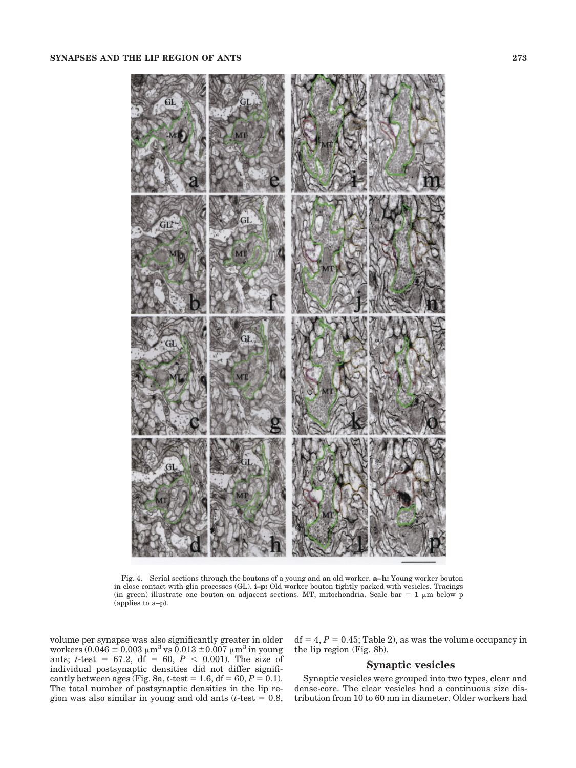

Fig. 4. Serial sections through the boutons of a young and an old worker. **a–h:** Young worker bouton in close contact with glia processes (GL). **i–p:** Old worker bouton tightly packed with vesicles. Tracings (in green) illustrate one bouton on adjacent sections. MT, mitochondria. Scale bar =  $1 \mu m$  below p (applies to a–p).

volume per synapse was also significantly greater in older workers (0.046  $\pm$  0.003  $\mu$ m<sup>3</sup> vs 0.013  $\pm$ 0.007  $\mu$ m<sup>3</sup> in young ants; *t*-test = 67.2, df = 60,  $P < 0.001$ ). The size of individual postsynaptic densities did not differ significantly between ages (Fig. 8a, *t*-test = 1.6, df = 60,  $P = 0.1$ ). The total number of postsynaptic densities in the lip region was also similar in young and old ants  $(t$ -test  $= 0.8$ ,

 $df = 4, P = 0.45$ ; Table 2), as was the volume occupancy in the lip region (Fig. 8b).

## **Synaptic vesicles**

Synaptic vesicles were grouped into two types, clear and dense-core. The clear vesicles had a continuous size distribution from 10 to 60 nm in diameter. Older workers had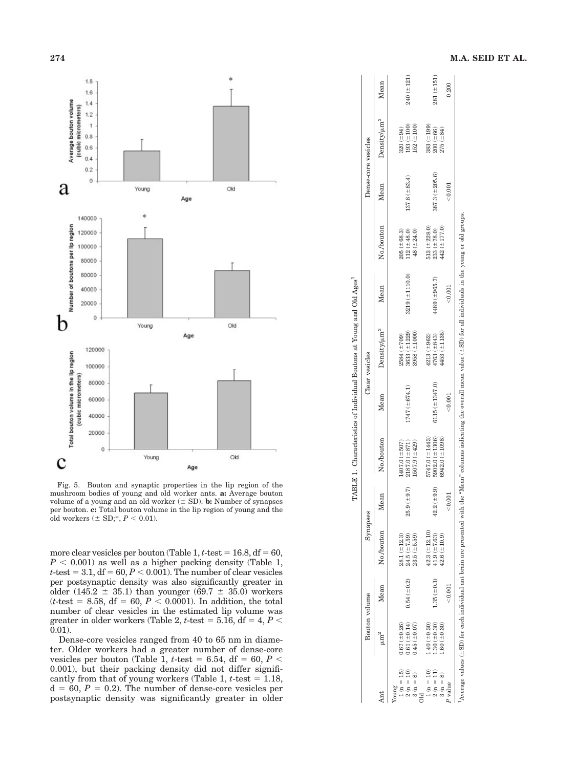

Fig. 5. Bouton and synaptic properties in the lip region of the mushroom bodies of young and old worker ants. **a:** Average bouton volume of a young and an old worker ( $\pm$  SD). **b:** Number of synapses per bouton. **c:** Total bouton volume in the lip region of young and the old workers  $(\pm SD; *, P < 0.01)$ .

more clear vesicles per bouton (Table  $1, t$ -test =  $16.8, df = 60$ ,  $P < 0.001$ ) as well as a higher packing density (Table 1,  $t$ -test =  $3.1$ ,  $df = 60$ ,  $P < 0.001$ ). The number of clear vesicles per postsynaptic density was also significantly greater in older  $(145.2 \pm 35.1)$  than younger  $(69.7 \pm 35.0)$  workers  $(t$ -test = 8.58, df = 60,  $P < 0.0001$ ). In addition, the total number of clear vesicles in the estimated lip volume was  $\alpha$  greater in older workers (Table 2,  $t$ -test = 5.16, df = 4,  $P$  < 0.01).

Dense-core vesicles ranged from 40 to 65 nm in diameter. Older workers had a greater number of dense-core vesicles per bouton (Table 1,  $t$ -test = 6.54, df = 60,  $P <$ 0.001), but their packing density did not differ significantly from that of young workers (Table 1,  $t$ -test  $= 1.18$ ,  $d = 60, P = 0.2$ ). The number of dense-core vesicles per postsynaptic density was significantly greater in older

|                      |                       |                  |                    |                          |                     |                     | TABLE 1. Characteristics of Individual Boutons at Young and Old Ages <sup>1</sup> |                                                                                                                                                                                              |                   |                     |                   |              |
|----------------------|-----------------------|------------------|--------------------|--------------------------|---------------------|---------------------|-----------------------------------------------------------------------------------|----------------------------------------------------------------------------------------------------------------------------------------------------------------------------------------------|-------------------|---------------------|-------------------|--------------|
|                      | Bouton volume         |                  | Synapses           |                          |                     |                     | Clear vesicles                                                                    |                                                                                                                                                                                              |                   | Dense-core vesicles |                   |              |
|                      |                       | Mean             | No./bouton         | Mean                     | No./bouton          | Mean                | Density/um <sup>3</sup>                                                           | Mean                                                                                                                                                                                         | No./bouton        | Mean                | $Density/\mu m^3$ | Mean         |
| oung                 |                       |                  |                    |                          |                     |                     |                                                                                   |                                                                                                                                                                                              |                   |                     |                   |              |
| $1(n = 15)$          | $0.67~(\pm 0.26)$     |                  | $28.1 (\pm 12.3)$  |                          | $(407.0 (\pm 507))$ |                     | $2584 (\pm 709)$                                                                  |                                                                                                                                                                                              | $205 (\pm 68.3)$  |                     | $320 (+94)$       |              |
| $2(n = 10)$          | $0.61 (\pm 0.14)$     | $0.54 (= 0.2)$   | $24.5 (\pm 7.59)$  | .9(1.64)<br>25.          | $2187.0 (+871)$     | $1747 (\pm 674.1)$  | $3633 (\pm 1229)$                                                                 | $3219 (\pm 1110.0)$                                                                                                                                                                          | $12 (+48.0)$      | $137.8 (\pm 83.4)$  | $193 (+100)$      | $240 (+121)$ |
| $3(n = 8)$           | $0.45$ ( $\pm 0.07$ ) |                  | $23.5 (\pm 5.59)$  |                          | $1507.9(+429)$      |                     | $3958 (\pm 1000)$                                                                 |                                                                                                                                                                                              | $48 (+24.0)$      |                     | $152 (+100)$      |              |
|                      |                       |                  |                    |                          |                     |                     |                                                                                   |                                                                                                                                                                                              |                   |                     |                   |              |
| $1\ (\mathrm{n}=10)$ | $1.40 (\pm 0.30)$     |                  | $42.3 (\pm 12.10)$ |                          | $5747.0 (\pm 1443)$ |                     | $4213 (\pm 962)$                                                                  |                                                                                                                                                                                              | $513 (= 228.0)$   |                     | $383 (+199)$      |              |
| $2\;(\mathrm{n}=11)$ | $1.30 (\pm 0.30)$     | $1.35 (\pm 0.3)$ | $41.9 (\pm 7.63)$  | $2 (+9.9)$<br>$\ddot{a}$ | $5902.0 (\pm 1306)$ | $6135 (\pm 1347.0)$ | $4763 (\pm 843)$                                                                  | $4489 (\pm 965.7)$                                                                                                                                                                           | $233 (+ 78.0)$    | $387.3 (\pm 205.6)$ | $200 (+66)$       | 281(±151)    |
| $3(n = 8)$           | $1.60 \; (\pm 0.30)$  |                  | $42.6 (\pm 10.9)$  |                          | $6942.0 (\pm 1098)$ |                     | $4453 (\pm 1135)$                                                                 |                                                                                                                                                                                              | $442 (\pm 177.0)$ |                     | $275 (+84)$       |              |
| value                |                       | < 0.001          |                    | < 0.001                  |                     | < 0.001             |                                                                                   | < 0.001                                                                                                                                                                                      |                   | < 0.001             |                   | 0.200        |
|                      |                       |                  |                    |                          |                     |                     |                                                                                   | Average values ( $\pm$ SD) for each individual ant brain are presented with the "Mean" columns indicating the overall mean value ( $\pm$ SD) for all individuals in the young or old groups. |                   |                     |                   |              |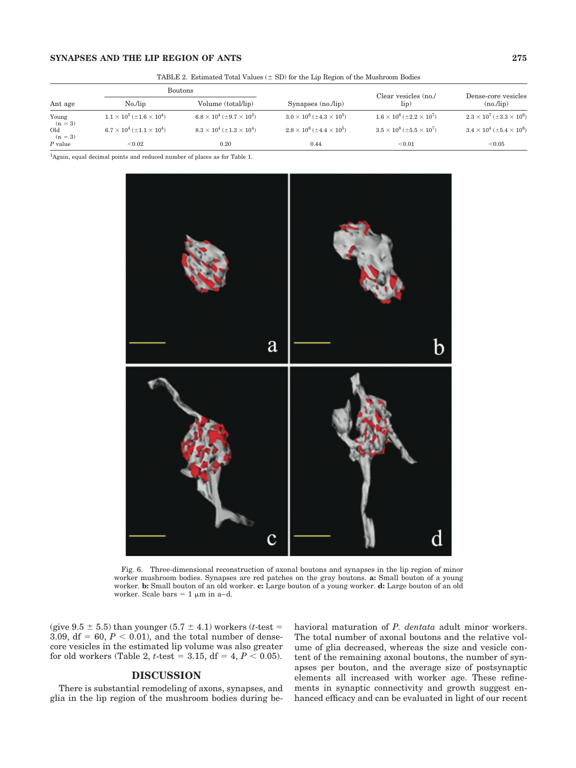## **SYNAPSES AND THE LIP REGION OF ANTS 275**

|                    |                                                    | $\frac{1}{100}$ . The contribution of $\frac{1}{100}$ and $\frac{1}{100}$ and $\frac{1}{100}$ and $\frac{1}{100}$ and $\frac{1}{100}$ and $\frac{1}{100}$ |                                             |                                             |                                                    |
|--------------------|----------------------------------------------------|-----------------------------------------------------------------------------------------------------------------------------------------------------------|---------------------------------------------|---------------------------------------------|----------------------------------------------------|
|                    | Boutons                                            |                                                                                                                                                           |                                             | Clear vesicles (no./                        | Dense-core vesicles                                |
| Ant age            | $No$ /lip                                          | Volume (total/lip)                                                                                                                                        | Synapses $(no$ <i>lip</i> $)$               | lip)                                        | $(no$ <i>lip</i> $)$                               |
| Young<br>$(n = 3)$ | $1.1 \times 10^5$ (±1.6 $\times$ 10 <sup>4</sup> ) | $6.8 \times 10^4$ ( $\pm 9.7 \times 10^3$ )                                                                                                               | $3.0 \times 10^6$ ( $\pm 4.3 \times 10^5$ ) | $1.6 \times 10^8$ ( $\pm 2.2 \times 10^7$ ) | $2.3 \times 10^7$ (±3.3 $\times$ 10 <sup>6</sup> ) |
| Old<br>$(n = 3)$   | $6.7 \times 10^4$ ( $\pm 1.1 \times 10^4$ )        | $8.3 \times 10^4$ ( $\pm 1.3 \times 10^4$ )                                                                                                               | $2.8 \times 10^6$ ( $\pm 4.4 \times 10^5$ ) | $3.5 \times 10^8$ ( $\pm 5.5 \times 10^7$ ) | $3.4 \times 10^4$ ( $\pm 5.4 \times 10^6$ )        |
| $P$ value          | < 0.02                                             | 0.20                                                                                                                                                      | 0.44                                        | < 0.01                                      | < 0.05                                             |

TABLE 2. Estimated Total Values  $(\pm SD)$  for the Lip Region of the Mushroom Bodies

<sup>1</sup>Again, equal decimal points and reduced number of places as for Table 1.



Fig. 6. Three-dimensional reconstruction of axonal boutons and synapses in the lip region of minor worker mushroom bodies. Synapses are red patches on the gray boutons. **a:** Small bouton of a young worker. **b:** Small bouton of an old worker. **c:** Large bouton of a young worker. **d:** Large bouton of an old worker. Scale bars  $= 1 \mu m$  in a–d.

(give  $9.5 \pm 5.5$ ) than younger  $(5.7 \pm 4.1)$  workers (*t*-test = 3.09,  $df = 60$ ,  $P < 0.01$ ), and the total number of densecore vesicles in the estimated lip volume was also greater for old workers (Table 2, *t*-test = 3.15, df = 4,  $P \le 0.05$ ).

## **DISCUSSION**

There is substantial remodeling of axons, synapses, and glia in the lip region of the mushroom bodies during behavioral maturation of *P. dentata* adult minor workers. The total number of axonal boutons and the relative volume of glia decreased, whereas the size and vesicle content of the remaining axonal boutons, the number of synapses per bouton, and the average size of postsynaptic elements all increased with worker age. These refinements in synaptic connectivity and growth suggest enhanced efficacy and can be evaluated in light of our recent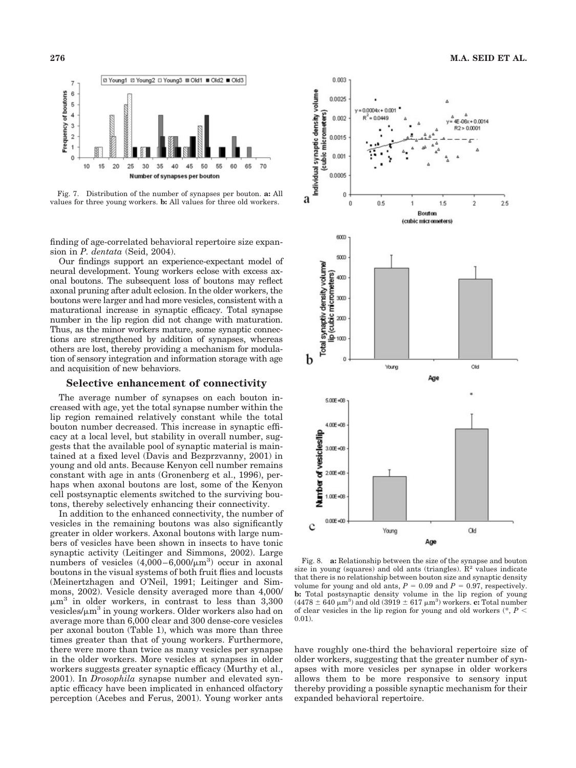

Fig. 7. Distribution of the number of synapses per bouton. **a:** All values for three young workers. **b:** All values for three old workers.

finding of age-correlated behavioral repertoire size expansion in *P. dentata* (Seid, 2004).

Our findings support an experience-expectant model of neural development. Young workers eclose with excess axonal boutons. The subsequent loss of boutons may reflect axonal pruning after adult eclosion. In the older workers, the boutons were larger and had more vesicles, consistent with a maturational increase in synaptic efficacy. Total synapse number in the lip region did not change with maturation. Thus, as the minor workers mature, some synaptic connections are strengthened by addition of synapses, whereas others are lost, thereby providing a mechanism for modulation of sensory integration and information storage with age and acquisition of new behaviors.

## **Selective enhancement of connectivity**

The average number of synapses on each bouton increased with age, yet the total synapse number within the lip region remained relatively constant while the total bouton number decreased. This increase in synaptic efficacy at a local level, but stability in overall number, suggests that the available pool of synaptic material is maintained at a fixed level (Davis and Bezprzvanny, 2001) in young and old ants. Because Kenyon cell number remains constant with age in ants (Gronenberg et al., 1996), perhaps when axonal boutons are lost, some of the Kenyon cell postsynaptic elements switched to the surviving boutons, thereby selectively enhancing their connectivity.

In addition to the enhanced connectivity, the number of vesicles in the remaining boutons was also significantly greater in older workers. Axonal boutons with large numbers of vesicles have been shown in insects to have tonic synaptic activity (Leitinger and Simmons, 2002). Large numbers of vesicles  $(4,000-6,000/\mu m^3)$  occur in axonal boutons in the visual systems of both fruit flies and locusts (Meinertzhagen and O'Neil, 1991; Leitinger and Simmons, 2002). Vesicle density averaged more than 4,000/  $\mu$ m<sup>3</sup> in older workers, in contrast to less than 3,300 vesicles/ $\mu$ m<sup>3</sup> in young workers. Older workers also had on average more than 6,000 clear and 300 dense-core vesicles per axonal bouton (Table 1), which was more than three times greater than that of young workers. Furthermore, there were more than twice as many vesicles per synapse in the older workers. More vesicles at synapses in older workers suggests greater synaptic efficacy (Murthy et al., 2001). In *Drosophila* synapse number and elevated synaptic efficacy have been implicated in enhanced olfactory perception (Acebes and Ferus, 2001). Young worker ants



Fig. 8. **a:** Relationship between the size of the synapse and bouton size in young (squares) and old ants (triangles).  $\mathbb{R}^2$  values indicate that there is no relationship between bouton size and synaptic density volume for young and old ants,  $P = 0.09$  and  $P = 0.97$ , respectively. **b:** Total postsynaptic density volume in the lip region of young  $(4478 \pm 640 \,\mathrm{\mu m^3})$  and old  $(3919 \pm 617 \,\mathrm{\mu m^3})$  workers. **c:** Total number of clear vesicles in the lip region for young and old workers  $(*, P \leq$ 0.01).

have roughly one-third the behavioral repertoire size of older workers, suggesting that the greater number of synapses with more vesicles per synapse in older workers allows them to be more responsive to sensory input thereby providing a possible synaptic mechanism for their expanded behavioral repertoire.